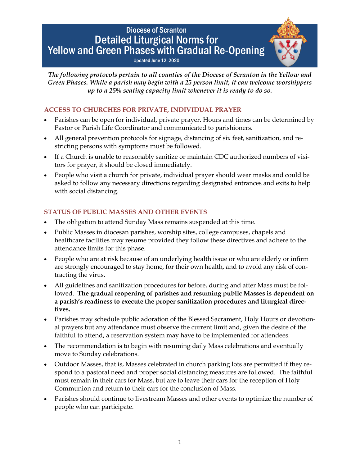# Diocese of Scranton Detailed Liturgical Norms for Yellow and Green Phases with Gradual Re-Opening Updated June 12, 2020

*The following protocols pertain to all counties of the Diocese of Scranton in the Yellow and Green Phases. While a parish may begin with a 25 person limit, it can welcome worshippers up to a 25% seating capacity limit whenever it is ready to do so.*

# **ACCESS TO CHURCHES FOR PRIVATE, INDIVIDUAL PRAYER**

- Parishes can be open for individual, private prayer. Hours and times can be determined by Pastor or Parish Life Coordinator and communicated to parishioners.
- All general prevention protocols for signage, distancing of six feet, sanitization, and restricting persons with symptoms must be followed.
- If a Church is unable to reasonably sanitize or maintain CDC authorized numbers of visitors for prayer, it should be closed immediately.
- People who visit a church for private, individual prayer should wear masks and could be asked to follow any necessary directions regarding designated entrances and exits to help with social distancing.

# **STATUS OF PUBLIC MASSES AND OTHER EVENTS**

- The obligation to attend Sunday Mass remains suspended at this time.
- Public Masses in diocesan parishes, worship sites, college campuses, chapels and healthcare facilities may resume provided they follow these directives and adhere to the attendance limits for this phase.
- People who are at risk because of an underlying health issue or who are elderly or infirm are strongly encouraged to stay home, for their own health, and to avoid any risk of contracting the virus.
- All guidelines and sanitization procedures for before, during and after Mass must be followed. **The gradual reopening of parishes and resuming public Masses is dependent on a parish's readiness to execute the proper sanitization procedures and liturgical directives.**
- Parishes may schedule public adoration of the Blessed Sacrament, Holy Hours or devotional prayers but any attendance must observe the current limit and, given the desire of the faithful to attend, a reservation system may have to be implemented for attendees.
- The recommendation is to begin with resuming daily Mass celebrations and eventually move to Sunday celebrations.
- Outdoor Masses, that is, Masses celebrated in church parking lots are permitted if they respond to a pastoral need and proper social distancing measures are followed. The faithful must remain in their cars for Mass, but are to leave their cars for the reception of Holy Communion and return to their cars for the conclusion of Mass.
- Parishes should continue to livestream Masses and other events to optimize the number of people who can participate.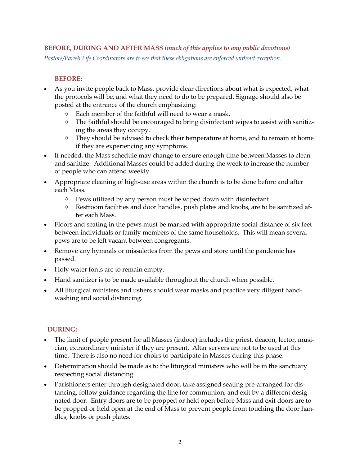## **BEFORE, DURING AND AFTER MASS** *(much of this applies to any public devotions)*

*Pastors/Parish Life Coordinators are to see that these obligations are enforced without exception.*

#### **BEFORE:**

- As you invite people back to Mass, provide clear directions about what is expected, what the protocols will be, and what they need to do to be prepared. Signage should also be posted at the entrance of the church emphasizing:
	- $\Diamond$  Each member of the faithful will need to wear a mask.
	- $\Diamond$  The faithful should be encouraged to bring disinfectant wipes to assist with sanitizing the areas they occupy.
	- $\Diamond$  They should be advised to check their temperature at home, and to remain at home if they are experiencing any symptoms.
- If needed, the Mass schedule may change to ensure enough time between Masses to clean and sanitize. Additional Masses could be added during the week to increase the number of people who can attend weekly.
- Appropriate cleaning of high-use areas within the church is to be done before and after each Mass.
	- $\Diamond$  Pews utilized by any person must be wiped down with disinfectant
	- Restroom facilities and door handles, push plates and knobs, are to be sanitized after each Mass.
- Floors and seating in the pews must be marked with appropriate social distance of six feet between individuals or family members of the same households. This will mean several pews are to be left vacant between congregants.
- Remove any hymnals or missalettes from the pews and store until the pandemic has passed.
- Holy water fonts are to remain empty.
- Hand sanitizer is to be made available throughout the church when possible.
- All liturgical ministers and ushers should wear masks and practice very diligent handwashing and social distancing.

#### **DURING:**

- The limit of people present for all Masses (indoor) includes the priest, deacon, lector, musician, extraordinary minister if they are present. Altar servers are not to be used at this time. There is also no need for choirs to participate in Masses during this phase.
- Determination should be made as to the liturgical ministers who will be in the sanctuary respecting social distancing.
- Parishioners enter through designated door, take assigned seating pre-arranged for distancing, follow guidance regarding the line for communion, and exit by a different designated door. Entry doors are to be propped or held open before Mass and exit doors are to be propped or held open at the end of Mass to prevent people from touching the door handles, knobs or push plates.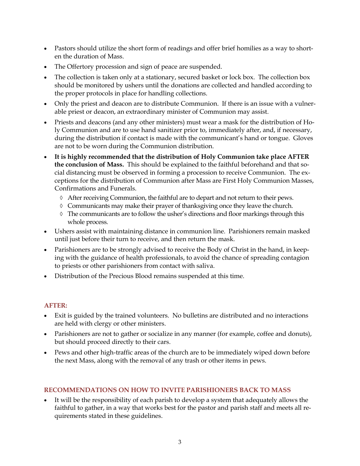- Pastors should utilize the short form of readings and offer brief homilies as a way to shorten the duration of Mass.
- The Offertory procession and sign of peace are suspended.
- The collection is taken only at a stationary, secured basket or lock box. The collection box should be monitored by ushers until the donations are collected and handled according to the proper protocols in place for handling collections.
- Only the priest and deacon are to distribute Communion. If there is an issue with a vulnerable priest or deacon, an extraordinary minister of Communion may assist.
- Priests and deacons (and any other ministers) must wear a mask for the distribution of Holy Communion and are to use hand sanitizer prior to, immediately after, and, if necessary, during the distribution if contact is made with the communicant's hand or tongue. Gloves are not to be worn during the Communion distribution.
- **It is highly recommended that the distribution of Holy Communion take place AFTER the conclusion of Mass.** This should be explained to the faithful beforehand and that social distancing must be observed in forming a procession to receive Communion. The exceptions for the distribution of Communion after Mass are First Holy Communion Masses, Confirmations and Funerals.
	- $\Diamond$  After receiving Communion, the faithful are to depart and not return to their pews.
	- $\Diamond$  Communicants may make their prayer of thanksgiving once they leave the church.
	- $\Diamond$  The communicants are to follow the usher's directions and floor markings through this whole process.
- Ushers assist with maintaining distance in communion line. Parishioners remain masked until just before their turn to receive, and then return the mask.
- Parishioners are to be strongly advised to receive the Body of Christ in the hand, in keeping with the guidance of health professionals, to avoid the chance of spreading contagion to priests or other parishioners from contact with saliva.
- Distribution of the Precious Blood remains suspended at this time.

## **AFTER:**

- Exit is guided by the trained volunteers. No bulletins are distributed and no interactions are held with clergy or other ministers.
- Parishioners are not to gather or socialize in any manner (for example, coffee and donuts), but should proceed directly to their cars.
- Pews and other high-traffic areas of the church are to be immediately wiped down before the next Mass, along with the removal of any trash or other items in pews.

## **RECOMMENDATIONS ON HOW TO INVITE PARISHIONERS BACK TO MASS**

 It will be the responsibility of each parish to develop a system that adequately allows the faithful to gather, in a way that works best for the pastor and parish staff and meets all requirements stated in these guidelines.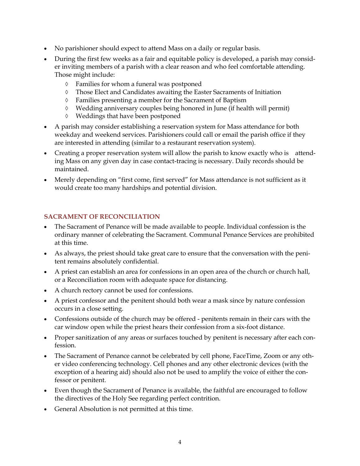- No parishioner should expect to attend Mass on a daily or regular basis.
- During the first few weeks as a fair and equitable policy is developed, a parish may consider inviting members of a parish with a clear reason and who feel comfortable attending. Those might include:
	- Families for whom a funeral was postponed
	- Those Elect and Candidates awaiting the Easter Sacraments of Initiation
	- Families presenting a member for the Sacrament of Baptism
	- Wedding anniversary couples being honored in June (if health will permit)
	- Weddings that have been postponed
- A parish may consider establishing a reservation system for Mass attendance for both weekday and weekend services. Parishioners could call or email the parish office if they are interested in attending (similar to a restaurant reservation system).
- Creating a proper reservation system will allow the parish to know exactly who is attending Mass on any given day in case contact-tracing is necessary. Daily records should be maintained.
- Merely depending on "first come, first served" for Mass attendance is not sufficient as it would create too many hardships and potential division.

## **SACRAMENT OF RECONCILIATION**

- The Sacrament of Penance will be made available to people. Individual confession is the ordinary manner of celebrating the Sacrament. Communal Penance Services are prohibited at this time.
- As always, the priest should take great care to ensure that the conversation with the penitent remains absolutely confidential.
- A priest can establish an area for confessions in an open area of the church or church hall, or a Reconciliation room with adequate space for distancing.
- A church rectory cannot be used for confessions.
- A priest confessor and the penitent should both wear a mask since by nature confession occurs in a close setting.
- Confessions outside of the church may be offered penitents remain in their cars with the car window open while the priest hears their confession from a six-foot distance.
- Proper sanitization of any areas or surfaces touched by penitent is necessary after each confession.
- The Sacrament of Penance cannot be celebrated by cell phone, FaceTime, Zoom or any other video conferencing technology. Cell phones and any other electronic devices (with the exception of a hearing aid) should also not be used to amplify the voice of either the confessor or penitent.
- Even though the Sacrament of Penance is available, the faithful are encouraged to follow the directives of the Holy See regarding perfect contrition.
- General Absolution is not permitted at this time.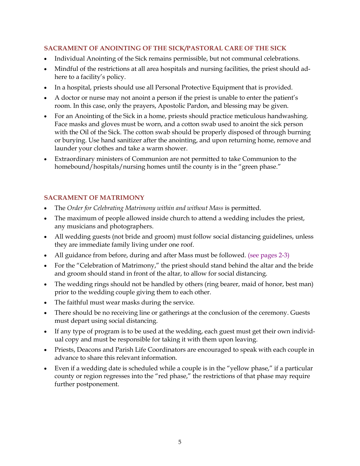# **SACRAMENT OF ANOINTING OF THE SICK/PASTORAL CARE OF THE SICK**

- Individual Anointing of the Sick remains permissible, but not communal celebrations.
- Mindful of the restrictions at all area hospitals and nursing facilities, the priest should adhere to a facility's policy.
- In a hospital, priests should use all Personal Protective Equipment that is provided.
- A doctor or nurse may not anoint a person if the priest is unable to enter the patient's room. In this case, only the prayers, Apostolic Pardon, and blessing may be given.
- For an Anointing of the Sick in a home, priests should practice meticulous handwashing. Face masks and gloves must be worn, and a cotton swab used to anoint the sick person with the Oil of the Sick. The cotton swab should be properly disposed of through burning or burying. Use hand sanitizer after the anointing, and upon returning home, remove and launder your clothes and take a warm shower.
- Extraordinary ministers of Communion are not permitted to take Communion to the homebound/hospitals/nursing homes until the county is in the "green phase."

## **SACRAMENT OF MATRIMONY**

- The *Order for Celebrating Matrimony within and without Mass* is permitted.
- The maximum of people allowed inside church to attend a wedding includes the priest, any musicians and photographers.
- All wedding guests (not bride and groom) must follow social distancing guidelines, unless they are immediate family living under one roof.
- All guidance from before, during and after Mass must be followed. (see pages 2-3)
- For the "Celebration of Matrimony," the priest should stand behind the altar and the bride and groom should stand in front of the altar, to allow for social distancing.
- The wedding rings should not be handled by others (ring bearer, maid of honor, best man) prior to the wedding couple giving them to each other.
- The faithful must wear masks during the service.
- There should be no receiving line or gatherings at the conclusion of the ceremony. Guests must depart using social distancing.
- If any type of program is to be used at the wedding, each guest must get their own individual copy and must be responsible for taking it with them upon leaving.
- Priests, Deacons and Parish Life Coordinators are encouraged to speak with each couple in advance to share this relevant information.
- Even if a wedding date is scheduled while a couple is in the "yellow phase," if a particular county or region regresses into the "red phase," the restrictions of that phase may require further postponement.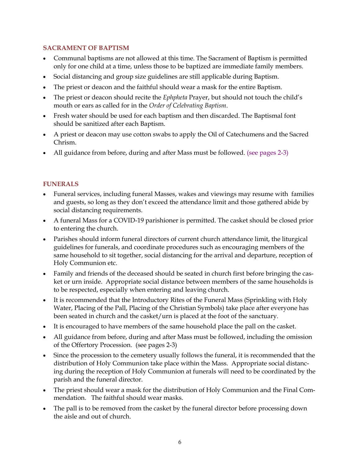#### **SACRAMENT OF BAPTISM**

- Communal baptisms are not allowed at this time. The Sacrament of Baptism is permitted only for one child at a time, unless those to be baptized are immediate family members.
- Social distancing and group size guidelines are still applicable during Baptism.
- The priest or deacon and the faithful should wear a mask for the entire Baptism.
- The priest or deacon should recite the *Ephpheta* Prayer, but should not touch the child's mouth or ears as called for in the *Order of Celebrating Baptism*.
- Fresh water should be used for each baptism and then discarded. The Baptismal font should be sanitized after each Baptism.
- A priest or deacon may use cotton swabs to apply the Oil of Catechumens and the Sacred Chrism.
- All guidance from before, during and after Mass must be followed. (see pages 2-3)

## **FUNERALS**

- Funeral services, including funeral Masses, wakes and viewings may resume with families and guests, so long as they don't exceed the attendance limit and those gathered abide by social distancing requirements.
- A funeral Mass for a COVID-19 parishioner is permitted. The casket should be closed prior to entering the church.
- Parishes should inform funeral directors of current church attendance limit, the liturgical guidelines for funerals, and coordinate procedures such as encouraging members of the same household to sit together, social distancing for the arrival and departure, reception of Holy Communion etc.
- Family and friends of the deceased should be seated in church first before bringing the casket or urn inside. Appropriate social distance between members of the same households is to be respected, especially when entering and leaving church.
- It is recommended that the Introductory Rites of the Funeral Mass (Sprinkling with Holy Water, Placing of the Pall, Placing of the Christian Symbols) take place after everyone has been seated in church and the casket/urn is placed at the foot of the sanctuary.
- It is encouraged to have members of the same household place the pall on the casket.
- All guidance from before, during and after Mass must be followed, including the omission of the Offertory Procession. (see pages 2-3)
- Since the procession to the cemetery usually follows the funeral, it is recommended that the distribution of Holy Communion take place within the Mass. Appropriate social distancing during the reception of Holy Communion at funerals will need to be coordinated by the parish and the funeral director.
- The priest should wear a mask for the distribution of Holy Communion and the Final Commendation. The faithful should wear masks.
- The pall is to be removed from the casket by the funeral director before processing down the aisle and out of church.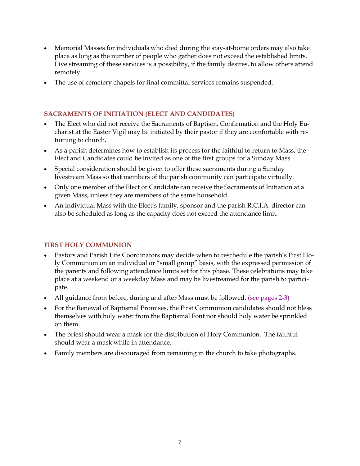- Memorial Masses for individuals who died during the stay-at-home orders may also take place as long as the number of people who gather does not exceed the established limits. Live streaming of these services is a possibility, if the family desires, to allow others attend remotely.
- The use of cemetery chapels for final committal services remains suspended.

#### **SACRAMENTS OF INITIATION (ELECT AND CANDIDATES)**

- The Elect who did not receive the Sacraments of Baptism, Confirmation and the Holy Eucharist at the Easter Vigil may be initiated by their pastor if they are comfortable with returning to church.
- As a parish determines how to establish its process for the faithful to return to Mass, the Elect and Candidates could be invited as one of the first groups for a Sunday Mass.
- Special consideration should be given to offer these sacraments during a Sunday livestream Mass so that members of the parish community can participate virtually.
- Only one member of the Elect or Candidate can receive the Sacraments of Initiation at a given Mass, unless they are members of the same household.
- An individual Mass with the Elect's family, sponsor and the parish R.C.I.A. director can also be scheduled as long as the capacity does not exceed the attendance limit.

#### **FIRST HOLY COMMUNION**

- Pastors and Parish Life Coordinators may decide when to reschedule the parish's First Holy Communion on an individual or "small group" basis, with the expressed permission of the parents and following attendance limits set for this phase. These celebrations may take place at a weekend or a weekday Mass and may be livestreamed for the parish to participate.
- All guidance from before, during and after Mass must be followed. (see pages 2-3)
- For the Renewal of Baptismal Promises, the First Communion candidates should not bless themselves with holy water from the Baptismal Font nor should holy water be sprinkled on them.
- The priest should wear a mask for the distribution of Holy Communion. The faithful should wear a mask while in attendance.
- Family members are discouraged from remaining in the church to take photographs.